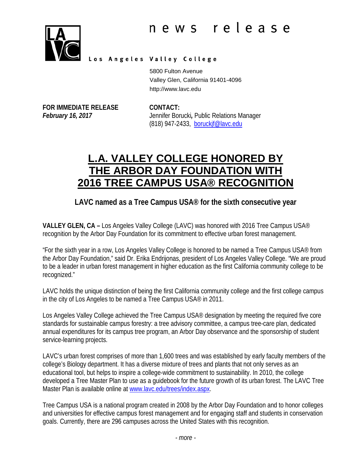

## Los Angeles Valley College

5800 Fulton Avenue Valley Glen, California 91401-4096 http://www.lavc.edu

**FOR IMMEDIATE RELEASE CONTACT:**

*February 16, 2017* Jennifer Borucki*,* Public Relations Manager (818) 947-2433, [boruckjf@lavc.edu](mailto:boruckjf@lavc.edu)

# **L.A. VALLEY COLLEGE HONORED BY THE ARBOR DAY FOUNDATION WITH 2016 TREE CAMPUS USA® RECOGNITION**

## **LAVC named as a Tree Campus USA® for the sixth consecutive year**

**VALLEY GLEN, CA –** Los Angeles Valley College (LAVC) was honored with 2016 Tree Campus USA® recognition by the Arbor Day Foundation for its commitment to effective urban forest management.

"For the sixth year in a row, Los Angeles Valley College is honored to be named a Tree Campus USA® from the Arbor Day Foundation," said Dr. Erika Endrijonas, president of Los Angeles Valley College. "We are proud to be a leader in urban forest management in higher education as the first California community college to be recognized."

LAVC holds the unique distinction of being the first California community college and the first college campus in the city of Los Angeles to be named a Tree Campus USA® in 2011.

Los Angeles Valley College achieved the Tree Campus USA® designation by meeting the required five core standards for sustainable campus forestry: a tree advisory committee, a campus tree-care plan, dedicated annual expenditures for its campus tree program, an Arbor Day observance and the sponsorship of student service-learning projects.

LAVC's urban forest comprises of more than 1,600 trees and was established by early faculty members of the college's Biology department. It has a diverse mixture of trees and plants that not only serves as an educational tool, but helps to inspire a college-wide commitment to sustainability. In 2010, the college developed a Tree Master Plan to use as a guidebook for the future growth of its urban forest. The LAVC Tree Master Plan is available online at [www.lavc.edu/trees/index.aspx.](http://www.lavc.edu/trees/index.aspx)

Tree Campus USA is a national program created in 2008 by the Arbor Day Foundation and to honor colleges and universities for effective campus forest management and for engaging staff and students in conservation goals. Currently, there are 296 campuses across the United States with this recognition.